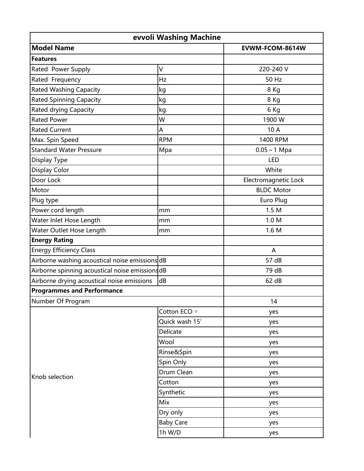| evvoli Washing Machine                          |                        |                      |  |  |
|-------------------------------------------------|------------------------|----------------------|--|--|
| <b>Model Name</b>                               |                        | EVWM-FCOM-8614W      |  |  |
| <b>Features</b>                                 |                        |                      |  |  |
| Rated Power Supply                              | V                      | 220-240 V            |  |  |
| Rated Frequency                                 | Hz                     | 50 Hz                |  |  |
| <b>Rated Washing Capacity</b>                   | $\mathsf{k}\mathsf{g}$ | 8 Kg                 |  |  |
| <b>Rated Spinning Capacity</b>                  | kg                     | 8 Kg                 |  |  |
| <b>Rated drying Capacity</b>                    | kg                     | 6 Kg                 |  |  |
| <b>Rated Power</b>                              | W                      | 1900 W               |  |  |
| <b>Rated Current</b>                            | A                      | 10 A                 |  |  |
| Max. Spin Speed                                 | <b>RPM</b>             | 1400 RPM             |  |  |
| <b>Standard Water Pressure</b>                  | Mpa                    | $0.05 \sim 1$ Mpa    |  |  |
| Display Type                                    |                        | LED                  |  |  |
| <b>Display Color</b>                            |                        | White                |  |  |
| Door Lock                                       |                        | Electromagnetic Lock |  |  |
| Motor                                           |                        | <b>BLDC Motor</b>    |  |  |
| Plug type                                       |                        | Euro Plug            |  |  |
| Power cord length                               | mm                     | 1.5M                 |  |  |
| Water Inlet Hose Length                         | mm                     | 1.0 M                |  |  |
| Water Outlet Hose Length                        | mm                     | 1.6 M                |  |  |
| <b>Energy Rating</b>                            |                        |                      |  |  |
| <b>Energy Efficiency Class</b>                  |                        | A                    |  |  |
| Airborne washing acoustical noise emissions dB  |                        | 57 dB                |  |  |
| Airborne spinning acoustical noise emissions dB |                        | 79 dB                |  |  |
| Airborne drying acoustical noise emissions      | dB                     | 62 dB                |  |  |
| <b>Programmes and Performance</b>               |                        |                      |  |  |
| Number Of Program                               |                        | 14                   |  |  |
| Knob selection                                  | Cotton ECO $\diamond$  | yes                  |  |  |
|                                                 | Quick wash 15'         | yes                  |  |  |
|                                                 | Delicate               | yes                  |  |  |
|                                                 | Wool                   | yes                  |  |  |
|                                                 | Rinse&Spin             | yes                  |  |  |
|                                                 | Spin Only              | yes                  |  |  |
|                                                 | Drum Clean             | yes                  |  |  |
|                                                 | Cotton                 | yes                  |  |  |
|                                                 | Synthetic              | yes                  |  |  |
|                                                 | Mix                    | yes                  |  |  |
|                                                 | Dry only               | yes                  |  |  |
|                                                 | <b>Baby Care</b>       | yes                  |  |  |
|                                                 | 1h W/D                 | yes                  |  |  |